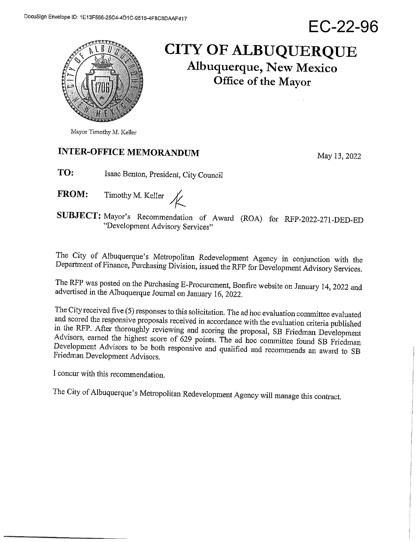EC-22-96



# **CITY OF ALBUQUERQUE** Albuquerque, New Mexico Office of the Mayor

## **INTER-OFFICE MEMORANDUM**

May 13, 2022

- TO: Isaac Benton, President, City Council
- Timothy M. Keller  $\mathcal{K}$ **FROM:**

SUBJECT: Mayor's Recommendation of Award (ROA) for RFP-2022-271-DED-ED "Development Advisory Services"

The City of Albuquerque's Metropolitan Redevelopment Agency in conjunction with the Department of Finance, Purchasing Division, issued the RFP for Development Advisory Services.

The RFP was posted on the Purchasing E-Procurement, Bonfire website on January 14, 2022 and advertised in the Albuquerque Journal on January 16, 2022.

The City received five (5) responses to this solicitation. The ad hoc evaluation committee evaluated and scored the responsive proposals received in accordance with the evaluation criteria published in the RFP. After thoroughly reviewing and scoring the proposal, SB Friedman Development Advisors, earned the highest score of 629 points. The ad hoc committee found SB Friedman Development Advisors to be both responsive and qualified and recommends an award to SB Friedman Development Advisors.

I concur with this recommendation.

The City of Albuquerque's Metropolitan Redevelopment Agency will manage this contract.

Mayor Timothy M. Keller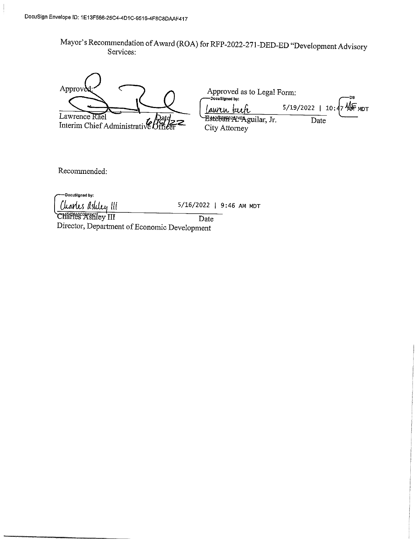Mayor's Recommendation of Award (ROA) for RFP-2022-271-DED-ED "Development Advisory Services:

Approve Lawrence Rael Interim Chief Administrative Biffi

| -DocuSigned by:    | Approved as to Legal Form:                        |                                   |      | -DS |
|--------------------|---------------------------------------------------|-----------------------------------|------|-----|
| <u>Lawren</u> bech |                                                   | 5/19/2022   10:47 $\sqrt{4F}$ MDT |      |     |
|                    | Esteban <sup>2</sup> A <sup>14</sup> Aguilar, Jr. |                                   | Date |     |
| City Attorney      |                                                   |                                   |      |     |

Recommended:

-DocuSigned by: Charles Ashley III 5/16/2022 | 9:46 AM MDT CHarles Ashley III Date Director, Department of Economic Development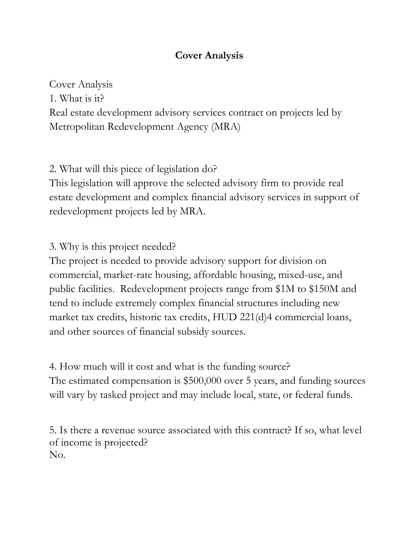# **Cover Analysis**

Cover Analysis

1. What is it?

Real estate development advisory services contract on projects led by Metropolitan Redevelopment Agency (MRA)

2. What will this piece of legislation do?

This legislation will approve the selected advisory firm to provide real estate development and complex financial advisory services in support of redevelopment projects led by MRA.

3. Why is this project needed?

The project is needed to provide advisory support for division on commercial, market-rate housing, affordable housing, mixed-use, and public facilities. Redevelopment projects range from \$1M to \$150M and tend to include extremely complex financial structures including new market tax credits, historic tax credits, HUD 221(d)4 commercial loans, and other sources of financial subsidy sources.

4. How much will it cost and what is the funding source? The estimated compensation is \$500,000 over 5 years, and funding sources will vary by tasked project and may include local, state, or federal funds.

5. Is there a revenue source associated with this contract? If so, what level of income is projected? No.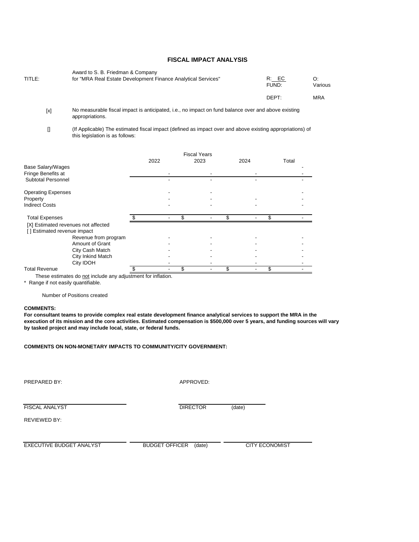#### **FISCAL IMPACT ANALYSIS**

| TITLE: | Award to S. B. Friedman & Company<br>for "MRA Real Estate Development Finance Analytical Services" | R: EC<br>FUND: | Various    |
|--------|----------------------------------------------------------------------------------------------------|----------------|------------|
|        |                                                                                                    | DEPT:          | <b>MRA</b> |

 $[x]$ No measurable fiscal impact is anticipated, i.e., no impact on fund balance over and above existing appropriations.

 $[$ (If Applicable) The estimated fiscal impact (defined as impact over and above existing appropriations) of this legislation is as follows:

|                                     |      | <b>Fiscal Years</b> |  |      |       |  |
|-------------------------------------|------|---------------------|--|------|-------|--|
|                                     | 2022 | 2023                |  | 2024 | Total |  |
| Base Salary/Wages                   |      |                     |  |      |       |  |
| Fringe Benefits at                  |      |                     |  |      |       |  |
| <b>Subtotal Personnel</b>           |      |                     |  |      |       |  |
| <b>Operating Expenses</b>           |      |                     |  |      |       |  |
| Property                            |      |                     |  |      |       |  |
| <b>Indirect Costs</b>               |      |                     |  |      |       |  |
| <b>Total Expenses</b>               |      |                     |  |      |       |  |
| [X] Estimated revenues not affected |      |                     |  |      |       |  |
| [] Estimated revenue impact         |      |                     |  |      |       |  |
| Revenue from program                |      |                     |  |      |       |  |
| Amount of Grant                     |      |                     |  |      |       |  |
| City Cash Match                     |      |                     |  |      |       |  |
| City Inkind Match                   |      |                     |  |      |       |  |
| City IDOH                           |      |                     |  |      |       |  |
| <b>Total Revenue</b>                |      |                     |  |      |       |  |

These estimates do not include any adjustment for inflation.

\* Range if not easily quantifiable.

Number of Positions created

#### **COMMENTS:**

**For consultant teams to provide complex real estate development finance analytical services to support the MRA in the execution of its mission and the core activities. Estimated compensation is \$500,000 over 5 years, and funding sources will vary by tasked project and may include local, state, or federal funds.**

**COMMENTS ON NON-MONETARY IMPACTS TO COMMUNITY/CITY GOVERNMENT:**

APPROVED:

FISCAL ANALYST

DIRECTOR (date)

REVIEWED BY:

EXECUTIVE BUDGET ANALYST BUDGET OFFICER (date) CITY ECONOMIST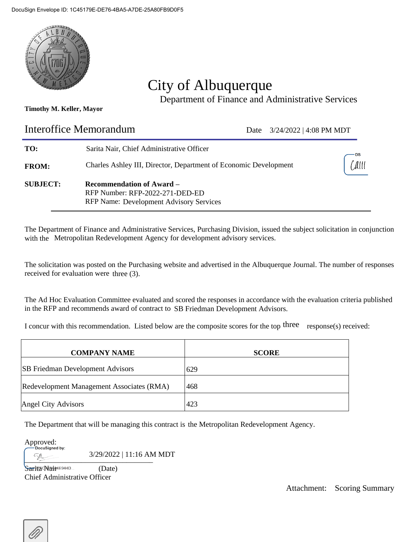

# City of Albuquerque

Department of Finance and Administrative Services

### **Timothy M. Keller, Mayor**

| <b>Interoffice Memorandum</b> |                                                                                                                       | Date | $3/24/2022$   4:08 PM MDT |                              |
|-------------------------------|-----------------------------------------------------------------------------------------------------------------------|------|---------------------------|------------------------------|
| TO:                           | Sarita Nair, Chief Administrative Officer                                                                             |      |                           |                              |
| <b>FROM:</b>                  | Charles Ashley III, Director, Department of Economic Development                                                      |      |                           | $\lfloor \text{All} \rfloor$ |
| <b>SUBJECT:</b>               | <b>Recommendation of Award –</b><br>RFP Number: RFP-2022-271-DED-ED<br><b>RFP Name: Development Advisory Services</b> |      |                           |                              |

The Department of Finance and Administrative Services, Purchasing Division, issued the subject solicitation in conjunction with the Metropolitan Redevelopment Agency for development advisory services.

The solicitation was posted on the Purchasing website and advertised in the Albuquerque Journal. The number of responses received for evaluation were three (3).

The Ad Hoc Evaluation Committee evaluated and scored the responses in accordance with the evaluation criteria published in the RFP and recommends award of contract to SB Friedman Development Advisors.

I concur with this recommendation. Listed below are the composite scores for the top three response(s) received:

| <b>COMPANY NAME</b>                       | <b>SCORE</b> |
|-------------------------------------------|--------------|
| <b>SB</b> Friedman Development Advisors   | 629          |
| Redevelopment Management Associates (RMA) | 468          |
| Angel City Advisors                       | 423          |

The Department that will be managing this contract is the Metropolitan Redevelopment Agency.

Approved:<br><u>DocuSigned</u> by:

 $\sqrt{3/29/2022}$  | 11:16 AM MDT

Sarita (Date) Chief Administrative Officer

Attachment: Scoring Summary